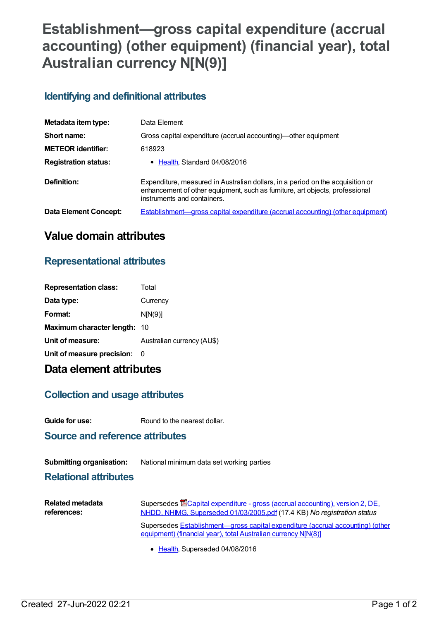# **Establishment—gross capital expenditure (accrual accounting) (other equipment) (financial year), total Australian currency N[N(9)]**

#### **Identifying and definitional attributes**

| Metadata item type:          | Data Element                                                                                                                                                                                  |
|------------------------------|-----------------------------------------------------------------------------------------------------------------------------------------------------------------------------------------------|
| Short name:                  | Gross capital expenditure (accrual accounting)—other equipment                                                                                                                                |
| <b>METEOR identifier:</b>    | 618923                                                                                                                                                                                        |
| <b>Registration status:</b>  | • Health, Standard 04/08/2016                                                                                                                                                                 |
| Definition:                  | Expenditure, measured in Australian dollars, in a period on the acquisition or<br>enhancement of other equipment, such as furniture, art objects, professional<br>instruments and containers. |
| <b>Data Element Concept:</b> | <b>Establishment—gross capital expenditure (accrual accounting) (other equipment)</b>                                                                                                         |

## **Value domain attributes**

#### **Representational attributes**

| <b>Representation class:</b>        | Total                      |
|-------------------------------------|----------------------------|
| Data type:                          | Currency                   |
| Format:                             | N[N(9)]                    |
| <b>Maximum character length: 10</b> |                            |
| Unit of measure:                    | Australian currency (AU\$) |
| Unit of measure precision:          | - 0                        |
|                                     |                            |

### **Data element attributes**

#### **Collection and usage attributes**

**Guide for use:** Round to the nearest dollar.

**Source and reference attributes**

| <b>Submitting organisation:</b> | National minimum data set working parties |
|---------------------------------|-------------------------------------------|
|---------------------------------|-------------------------------------------|

**Relational attributes**

| Related metadata | Supersedes <b>E</b> Capital expenditure - gross (accrual accounting), version 2, DE.                                                             |
|------------------|--------------------------------------------------------------------------------------------------------------------------------------------------|
| references:      | NHDD, NHIMG, Superseded 01/03/2005.pdf (17.4 KB) No registration status                                                                          |
|                  | Supersedes Establishment—gross capital expenditure (accrual accounting) (other<br>equipment) (financial year), total Australian currency NJN(8)] |

• [Health](https://meteor.aihw.gov.au/RegistrationAuthority/12), Superseded 04/08/2016